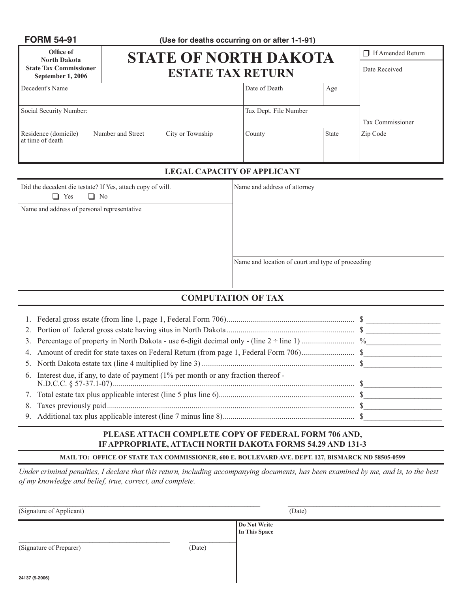| <b>FORM 54-91</b>                                  |                   | (Use for deaths occurring on or after 1-1-91) |                       |              |                   |  |  |
|----------------------------------------------------|-------------------|-----------------------------------------------|-----------------------|--------------|-------------------|--|--|
| Office of<br><b>North Dakota</b>                   |                   | <b>STATE OF NORTH DAKOTA</b>                  |                       |              | If Amended Return |  |  |
| <b>State Tax Commissioner</b><br>September 1, 2006 |                   | <b>ESTATE TAX RETURN</b>                      |                       |              |                   |  |  |
| Decedent's Name                                    |                   |                                               | Date of Death         | Age          |                   |  |  |
| Social Security Number:                            |                   |                                               | Tax Dept. File Number |              |                   |  |  |
|                                                    |                   |                                               |                       |              | Tax Commissioner  |  |  |
| Residence (domicile)<br>at time of death           | Number and Street | City or Township                              | County                | <b>State</b> | Zip Code          |  |  |

#### **LEGAL CAPACITY OF APPLICANT**

| Did the decedent die testate? If Yes, attach copy of will |
|-----------------------------------------------------------|
| $\Box$ Yes $\Box$ No                                      |

Name and address of personal representative

1. In Indian Mame and address of attorney

Name and location of court and type of proceeding

### **COMPUTATION OF TAX**

| 6. Interest due, if any, to date of payment (1% per month or any fraction thereof - |  |
|-------------------------------------------------------------------------------------|--|
|                                                                                     |  |
|                                                                                     |  |
|                                                                                     |  |

#### **PLEASE ATTACH COMPLETE COPY OF FEDERAL FORM 706 AND, IF APPROPRIATE, ATTACH NORTH DAKOTA FORMS 54.29 AND 131-3**

**MAIL TO: OFFICE OF STATE TAX COMMISSIONER, 600 E. BOULEVARD AVE. DEPT. 127, BISMARCK ND 58505-0599**

*Under criminal penalties, I declare that this return, including accompanying documents, has been examined by me, and is, to the best of my knowledge and belief, true, correct, and complete.*

| (Signature of Applicant) | (Date) |                               |  |  |
|--------------------------|--------|-------------------------------|--|--|
| (Signature of Preparer)  | (Date) | Do Not Write<br>In This Space |  |  |
| 24137 (9-2006)           |        |                               |  |  |